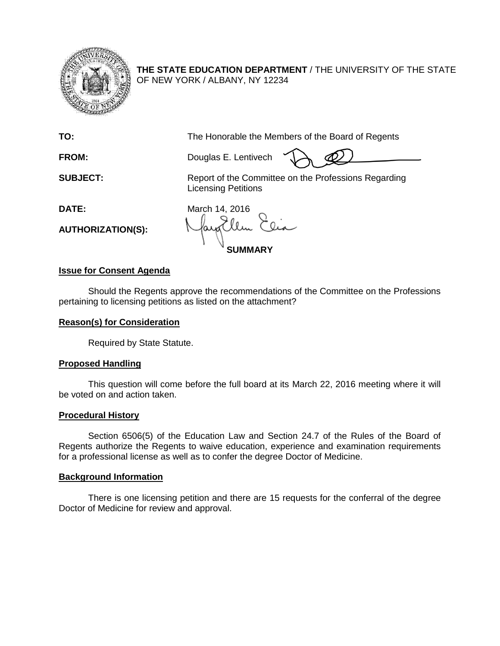

**THE STATE EDUCATION DEPARTMENT** / THE UNIVERSITY OF THE STATE OF NEW YORK / ALBANY, NY 12234

**TO:** The Honorable the Members of the Board of Regents

**FROM:** Douglas E. Lentivech

**SUBJECT:** Report of the Committee on the Professions Regarding Licensing Petitions

**AUTHORIZATION(S):**

**DATE:** March 14, 2016 **SUMMARY**

## **Issue for Consent Agenda**

Should the Regents approve the recommendations of the Committee on the Professions pertaining to licensing petitions as listed on the attachment?

## **Reason(s) for Consideration**

Required by State Statute.

## **Proposed Handling**

This question will come before the full board at its March 22, 2016 meeting where it will be voted on and action taken.

## **Procedural History**

Section 6506(5) of the Education Law and Section 24.7 of the Rules of the Board of Regents authorize the Regents to waive education, experience and examination requirements for a professional license as well as to confer the degree Doctor of Medicine.

## **Background Information**

There is one licensing petition and there are 15 requests for the conferral of the degree Doctor of Medicine for review and approval.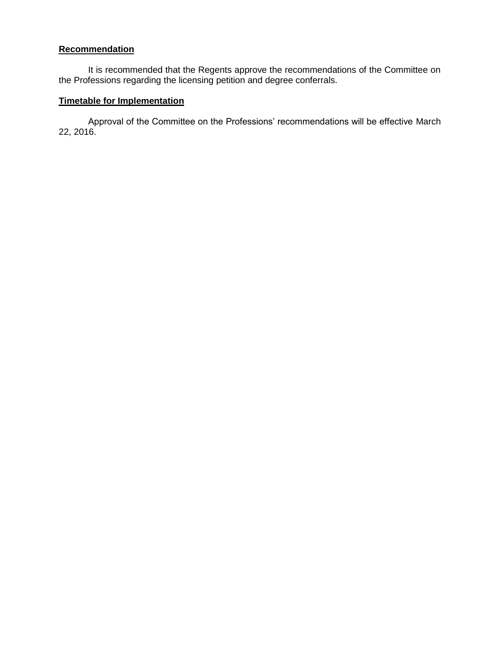## **Recommendation**

It is recommended that the Regents approve the recommendations of the Committee on the Professions regarding the licensing petition and degree conferrals.

# **Timetable for Implementation**

Approval of the Committee on the Professions' recommendations will be effective March 22, 2016.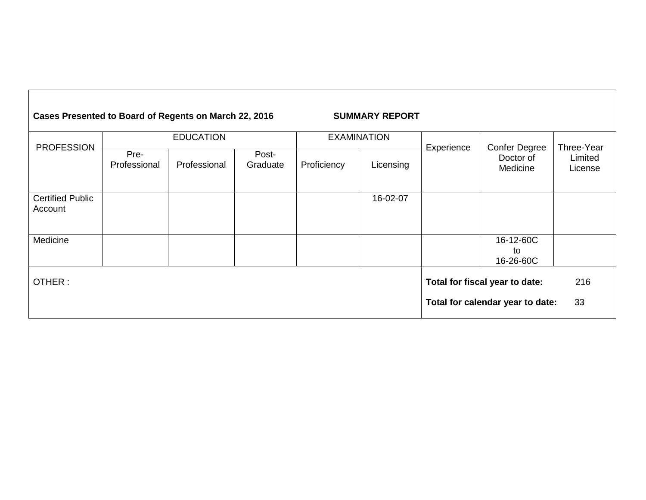| Cases Presented to Board of Regents on March 22, 2016 |                      |              |                   |                                                                    | <b>SUMMARY REPORT</b> |            |                                               |                                  |
|-------------------------------------------------------|----------------------|--------------|-------------------|--------------------------------------------------------------------|-----------------------|------------|-----------------------------------------------|----------------------------------|
| <b>PROFESSION</b>                                     | <b>EDUCATION</b>     |              |                   | <b>EXAMINATION</b>                                                 |                       |            |                                               |                                  |
|                                                       | Pre-<br>Professional | Professional | Post-<br>Graduate | Proficiency                                                        | Licensing             | Experience | <b>Confer Degree</b><br>Doctor of<br>Medicine | Three-Year<br>Limited<br>License |
| <b>Certified Public</b><br>Account                    |                      |              |                   |                                                                    | 16-02-07              |            |                                               |                                  |
| Medicine                                              |                      |              |                   |                                                                    |                       |            | 16-12-60C<br>to<br>16-26-60C                  |                                  |
| OTHER:                                                |                      |              |                   | Total for fiscal year to date:<br>Total for calendar year to date: | 216<br>33             |            |                                               |                                  |
|                                                       |                      |              |                   |                                                                    |                       |            |                                               |                                  |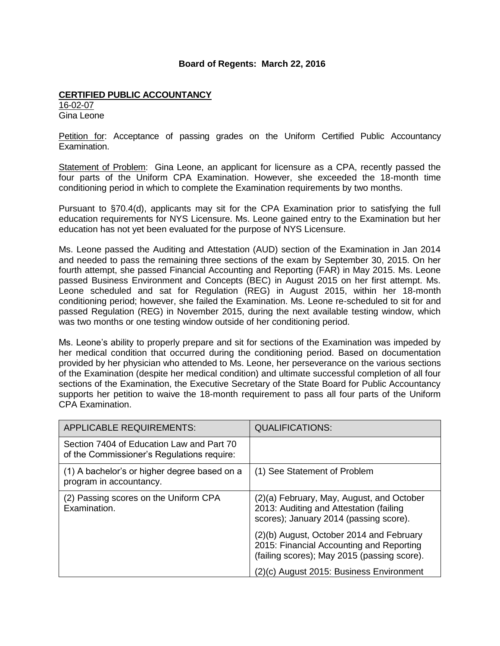### **Board of Regents: March 22, 2016**

### **CERTIFIED PUBLIC ACCOUNTANCY**

16-02-07 Gina Leone

Petition for: Acceptance of passing grades on the Uniform Certified Public Accountancy Examination.

Statement of Problem: Gina Leone, an applicant for licensure as a CPA, recently passed the four parts of the Uniform CPA Examination. However, she exceeded the 18-month time conditioning period in which to complete the Examination requirements by two months.

Pursuant to §70.4(d), applicants may sit for the CPA Examination prior to satisfying the full education requirements for NYS Licensure. Ms. Leone gained entry to the Examination but her education has not yet been evaluated for the purpose of NYS Licensure.

Ms. Leone passed the Auditing and Attestation (AUD) section of the Examination in Jan 2014 and needed to pass the remaining three sections of the exam by September 30, 2015. On her fourth attempt, she passed Financial Accounting and Reporting (FAR) in May 2015. Ms. Leone passed Business Environment and Concepts (BEC) in August 2015 on her first attempt. Ms. Leone scheduled and sat for Regulation (REG) in August 2015, within her 18-month conditioning period; however, she failed the Examination. Ms. Leone re-scheduled to sit for and passed Regulation (REG) in November 2015, during the next available testing window, which was two months or one testing window outside of her conditioning period.

Ms. Leone's ability to properly prepare and sit for sections of the Examination was impeded by her medical condition that occurred during the conditioning period. Based on documentation provided by her physician who attended to Ms. Leone, her perseverance on the various sections of the Examination (despite her medical condition) and ultimate successful completion of all four sections of the Examination, the Executive Secretary of the State Board for Public Accountancy supports her petition to waive the 18-month requirement to pass all four parts of the Uniform CPA Examination.

| <b>APPLICABLE REQUIREMENTS:</b>                                                         | <b>QUALIFICATIONS:</b>                                                                                                              |
|-----------------------------------------------------------------------------------------|-------------------------------------------------------------------------------------------------------------------------------------|
| Section 7404 of Education Law and Part 70<br>of the Commissioner's Regulations require: |                                                                                                                                     |
| (1) A bachelor's or higher degree based on a<br>program in accountancy.                 | (1) See Statement of Problem                                                                                                        |
| (2) Passing scores on the Uniform CPA<br>Examination.                                   | (2)(a) February, May, August, and October<br>2013: Auditing and Attestation (failing<br>scores); January 2014 (passing score).      |
|                                                                                         | (2)(b) August, October 2014 and February<br>2015: Financial Accounting and Reporting<br>(failing scores); May 2015 (passing score). |
|                                                                                         | (2)(c) August 2015: Business Environment                                                                                            |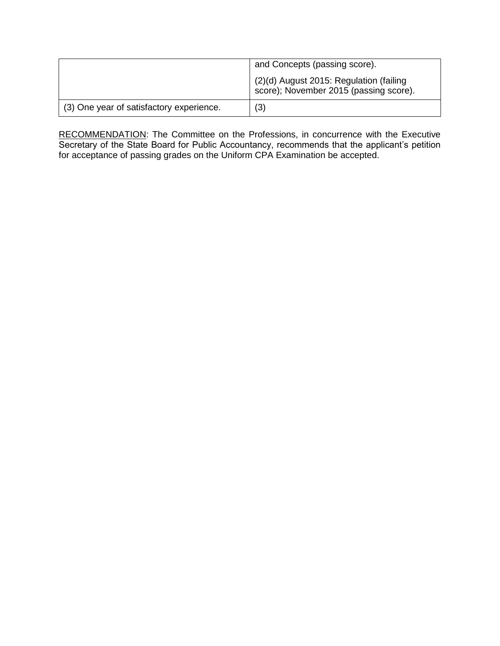|                                          | and Concepts (passing score).                                                       |  |  |
|------------------------------------------|-------------------------------------------------------------------------------------|--|--|
|                                          | $(2)(d)$ August 2015: Regulation (failing<br>score); November 2015 (passing score). |  |  |
| (3) One year of satisfactory experience. | (3)                                                                                 |  |  |

RECOMMENDATION: The Committee on the Professions, in concurrence with the Executive Secretary of the State Board for Public Accountancy, recommends that the applicant's petition for acceptance of passing grades on the Uniform CPA Examination be accepted.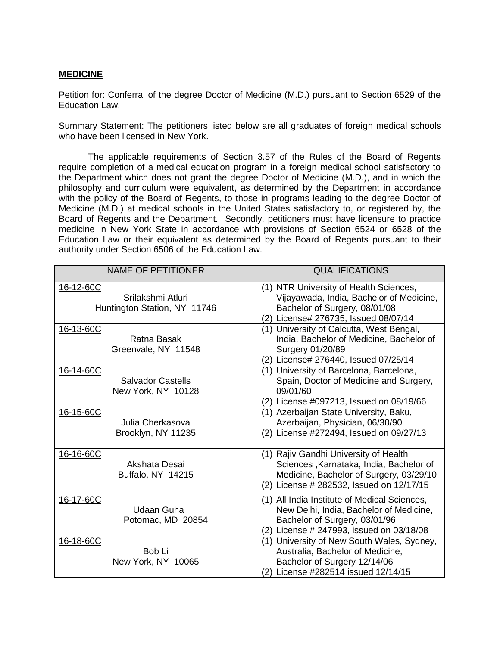## **MEDICINE**

Petition for: Conferral of the degree Doctor of Medicine (M.D.) pursuant to Section 6529 of the Education Law.

Summary Statement: The petitioners listed below are all graduates of foreign medical schools who have been licensed in New York.

The applicable requirements of Section 3.57 of the Rules of the Board of Regents require completion of a medical education program in a foreign medical school satisfactory to the Department which does not grant the degree Doctor of Medicine (M.D.), and in which the philosophy and curriculum were equivalent, as determined by the Department in accordance with the policy of the Board of Regents, to those in programs leading to the degree Doctor of Medicine (M.D.) at medical schools in the United States satisfactory to, or registered by, the Board of Regents and the Department. Secondly, petitioners must have licensure to practice medicine in New York State in accordance with provisions of Section 6524 or 6528 of the Education Law or their equivalent as determined by the Board of Regents pursuant to their authority under Section 6506 of the Education Law.

| <b>NAME OF PETITIONER</b>                                      | <b>QUALIFICATIONS</b>                                                                                                                                                   |  |  |
|----------------------------------------------------------------|-------------------------------------------------------------------------------------------------------------------------------------------------------------------------|--|--|
| 16-12-60C<br>Srilakshmi Atluri<br>Huntington Station, NY 11746 | (1) NTR University of Health Sciences,<br>Vijayawada, India, Bachelor of Medicine,<br>Bachelor of Surgery, 08/01/08<br>(2) License# 276735, Issued 08/07/14             |  |  |
| 16-13-60C<br>Ratna Basak<br>Greenvale, NY 11548                | (1) University of Calcutta, West Bengal,<br>India, Bachelor of Medicine, Bachelor of<br>Surgery 01/20/89<br>(2) License# 276440, Issued 07/25/14                        |  |  |
| 16-14-60C<br><b>Salvador Castells</b><br>New York, NY 10128    | (1) University of Barcelona, Barcelona,<br>Spain, Doctor of Medicine and Surgery,<br>09/01/60<br>(2) License #097213, Issued on 08/19/66                                |  |  |
| 16-15-60C<br>Julia Cherkasova<br>Brooklyn, NY 11235            | (1) Azerbaijan State University, Baku,<br>Azerbaijan, Physician, 06/30/90<br>(2) License #272494, Issued on 09/27/13                                                    |  |  |
| 16-16-60C<br>Akshata Desai<br>Buffalo, NY 14215                | (1) Rajiv Gandhi University of Health<br>Sciences, Karnataka, India, Bachelor of<br>Medicine, Bachelor of Surgery, 03/29/10<br>(2) License # 282532, Issued on 12/17/15 |  |  |
| 16-17-60C<br><b>Udaan Guha</b><br>Potomac, MD 20854            | (1) All India Institute of Medical Sciences,<br>New Delhi, India, Bachelor of Medicine,<br>Bachelor of Surgery, 03/01/96<br>(2) License # 247993, issued on 03/18/08    |  |  |
| 16-18-60C<br>Bob Li<br>New York, NY 10065                      | (1) University of New South Wales, Sydney,<br>Australia, Bachelor of Medicine,<br>Bachelor of Surgery 12/14/06<br>(2) License #282514 issued 12/14/15                   |  |  |